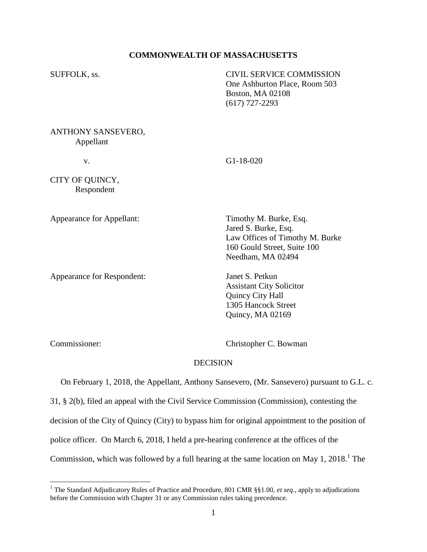# **COMMONWEALTH OF MASSACHUSETTS**

SUFFOLK, ss. CIVIL SERVICE COMMISSION One Ashburton Place, Room 503 Boston, MA 02108 (617) 727-2293

ANTHONY SANSEVERO, Appellant

v. G1-18-020

CITY OF QUINCY, Respondent

Appearance for Appellant: Timothy M. Burke, Esq.

Appearance for Respondent: Janet S. Petkun

Jared S. Burke, Esq. Law Offices of Timothy M. Burke 160 Gould Street, Suite 100 Needham, MA 02494

Assistant City Solicitor Quincy City Hall 1305 Hancock Street Quincy, MA 02169

 $\overline{a}$ 

Commissioner: Christopher C. Bowman

# **DECISION**

 On February 1, 2018, the Appellant, Anthony Sansevero, (Mr. Sansevero) pursuant to G.L. c. 31, § 2(b), filed an appeal with the Civil Service Commission (Commission), contesting the decision of the City of Quincy (City) to bypass him for original appointment to the position of police officer. On March 6, 2018, I held a pre-hearing conference at the offices of the Commission, which was followed by a full hearing at the same location on May 1, 2018.<sup>1</sup> The

<sup>&</sup>lt;sup>1</sup> The Standard Adjudicatory Rules of Practice and Procedure, 801 CMR §§1.00, *et seq.*, apply to adjudications before the Commission with Chapter 31 or any Commission rules taking precedence.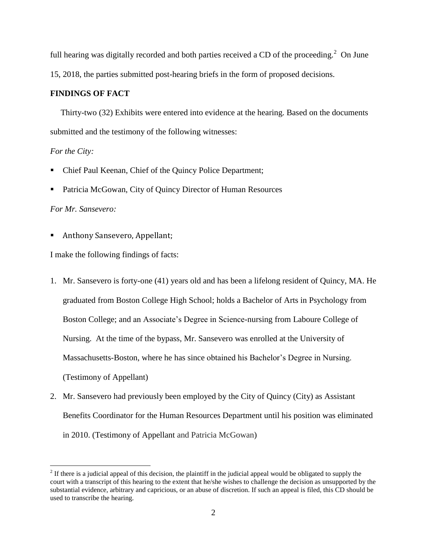full hearing was digitally recorded and both parties received a CD of the proceeding.<sup>2</sup> On June 15, 2018, the parties submitted post-hearing briefs in the form of proposed decisions.

# **FINDINGS OF FACT**

 Thirty-two (32) Exhibits were entered into evidence at the hearing. Based on the documents submitted and the testimony of the following witnesses:

## *For the City:*

- Chief Paul Keenan, Chief of the Quincy Police Department;
- Patricia McGowan, City of Quincy Director of Human Resources

## *For Mr. Sansevero:*

 $\overline{a}$ 

Anthony Sansevero, Appellant;

I make the following findings of facts:

- 1. Mr. Sansevero is forty-one (41) years old and has been a lifelong resident of Quincy, MA. He graduated from Boston College High School; holds a Bachelor of Arts in Psychology from Boston College; and an Associate's Degree in Science-nursing from Laboure College of Nursing. At the time of the bypass, Mr. Sansevero was enrolled at the University of Massachusetts-Boston, where he has since obtained his Bachelor's Degree in Nursing. (Testimony of Appellant)
- 2. Mr. Sansevero had previously been employed by the City of Quincy (City) as Assistant Benefits Coordinator for the Human Resources Department until his position was eliminated in 2010. (Testimony of Appellant and Patricia McGowan)

 $2<sup>2</sup>$  If there is a judicial appeal of this decision, the plaintiff in the judicial appeal would be obligated to supply the court with a transcript of this hearing to the extent that he/she wishes to challenge the decision as unsupported by the substantial evidence, arbitrary and capricious, or an abuse of discretion. If such an appeal is filed, this CD should be used to transcribe the hearing.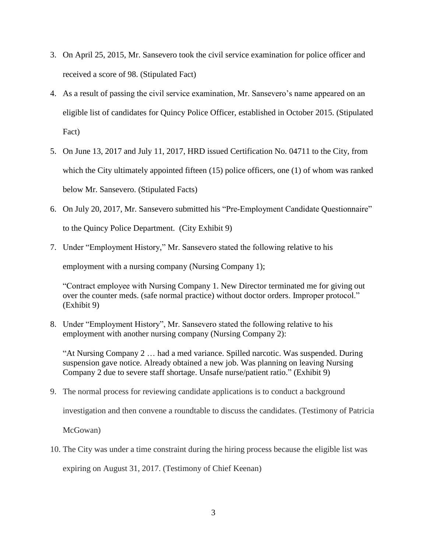- 3. On April 25, 2015, Mr. Sansevero took the civil service examination for police officer and received a score of 98. (Stipulated Fact)
- 4. As a result of passing the civil service examination, Mr. Sansevero's name appeared on an eligible list of candidates for Quincy Police Officer, established in October 2015. (Stipulated Fact)
- 5. On June 13, 2017 and July 11, 2017, HRD issued Certification No. 04711 to the City, from which the City ultimately appointed fifteen (15) police officers, one (1) of whom was ranked below Mr. Sansevero. (Stipulated Facts)
- 6. On July 20, 2017, Mr. Sansevero submitted his "Pre-Employment Candidate Questionnaire" to the Quincy Police Department. (City Exhibit 9)
- 7. Under "Employment History," Mr. Sansevero stated the following relative to his

employment with a nursing company (Nursing Company 1);

"Contract employee with Nursing Company 1. New Director terminated me for giving out over the counter meds. (safe normal practice) without doctor orders. Improper protocol." (Exhibit 9)

8. Under "Employment History", Mr. Sansevero stated the following relative to his employment with another nursing company (Nursing Company 2):

"At Nursing Company 2 … had a med variance. Spilled narcotic. Was suspended. During suspension gave notice. Already obtained a new job. Was planning on leaving Nursing Company 2 due to severe staff shortage. Unsafe nurse/patient ratio." (Exhibit 9)

9. The normal process for reviewing candidate applications is to conduct a background

investigation and then convene a roundtable to discuss the candidates. (Testimony of Patricia

McGowan)

10. The City was under a time constraint during the hiring process because the eligible list was expiring on August 31, 2017. (Testimony of Chief Keenan)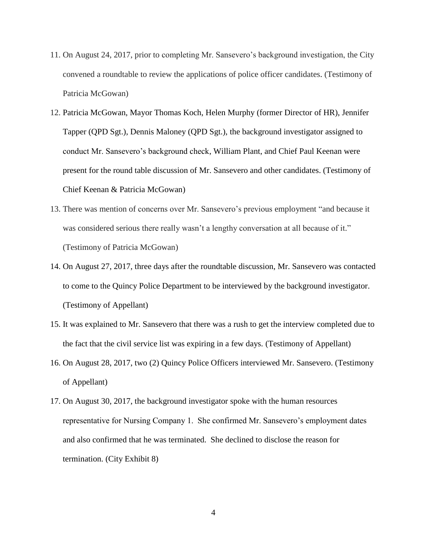- 11. On August 24, 2017, prior to completing Mr. Sansevero's background investigation, the City convened a roundtable to review the applications of police officer candidates. (Testimony of Patricia McGowan)
- 12. Patricia McGowan, Mayor Thomas Koch, Helen Murphy (former Director of HR), Jennifer Tapper (QPD Sgt.), Dennis Maloney (QPD Sgt.), the background investigator assigned to conduct Mr. Sansevero's background check, William Plant, and Chief Paul Keenan were present for the round table discussion of Mr. Sansevero and other candidates. (Testimony of Chief Keenan & Patricia McGowan)
- 13. There was mention of concerns over Mr. Sansevero's previous employment "and because it was considered serious there really wasn't a lengthy conversation at all because of it." (Testimony of Patricia McGowan)
- 14. On August 27, 2017, three days after the roundtable discussion, Mr. Sansevero was contacted to come to the Quincy Police Department to be interviewed by the background investigator. (Testimony of Appellant)
- 15. It was explained to Mr. Sansevero that there was a rush to get the interview completed due to the fact that the civil service list was expiring in a few days. (Testimony of Appellant)
- 16. On August 28, 2017, two (2) Quincy Police Officers interviewed Mr. Sansevero. (Testimony of Appellant)
- 17. On August 30, 2017, the background investigator spoke with the human resources representative for Nursing Company 1. She confirmed Mr. Sansevero's employment dates and also confirmed that he was terminated. She declined to disclose the reason for termination. (City Exhibit 8)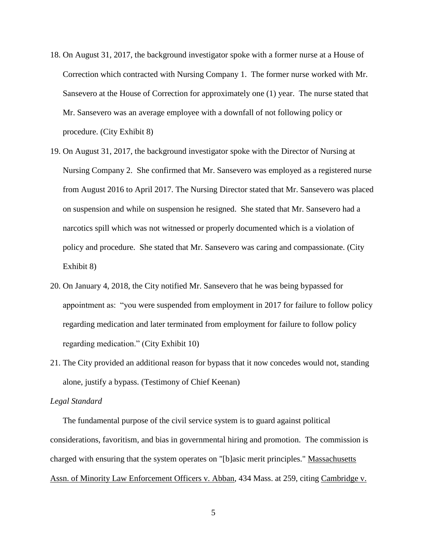- 18. On August 31, 2017, the background investigator spoke with a former nurse at a House of Correction which contracted with Nursing Company 1. The former nurse worked with Mr. Sansevero at the House of Correction for approximately one (1) year. The nurse stated that Mr. Sansevero was an average employee with a downfall of not following policy or procedure. (City Exhibit 8)
- 19. On August 31, 2017, the background investigator spoke with the Director of Nursing at Nursing Company 2. She confirmed that Mr. Sansevero was employed as a registered nurse from August 2016 to April 2017. The Nursing Director stated that Mr. Sansevero was placed on suspension and while on suspension he resigned. She stated that Mr. Sansevero had a narcotics spill which was not witnessed or properly documented which is a violation of policy and procedure. She stated that Mr. Sansevero was caring and compassionate. (City Exhibit 8)
- 20. On January 4, 2018, the City notified Mr. Sansevero that he was being bypassed for appointment as: "you were suspended from employment in 2017 for failure to follow policy regarding medication and later terminated from employment for failure to follow policy regarding medication." (City Exhibit 10)
- 21. The City provided an additional reason for bypass that it now concedes would not, standing alone, justify a bypass. (Testimony of Chief Keenan)

#### *Legal Standard*

 The fundamental purpose of the civil service system is to guard against political considerations, favoritism, and bias in governmental hiring and promotion. The commission is charged with ensuring that the system operates on "[b]asic merit principles." Massachusetts Assn. of Minority Law Enforcement Officers v. Abban, 434 Mass. at 259, citing Cambridge v.

5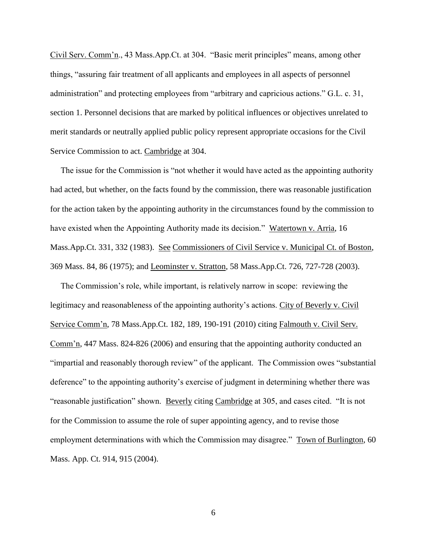Civil Serv. Comm'n., 43 Mass.App.Ct. at 304. "Basic merit principles" means, among other things, "assuring fair treatment of all applicants and employees in all aspects of personnel administration" and protecting employees from "arbitrary and capricious actions." G.L. c. 31, section 1. Personnel decisions that are marked by political influences or objectives unrelated to merit standards or neutrally applied public policy represent appropriate occasions for the Civil Service Commission to act. Cambridge at 304.

 The issue for the Commission is "not whether it would have acted as the appointing authority had acted, but whether, on the facts found by the commission, there was reasonable justification for the action taken by the appointing authority in the circumstances found by the commission to have existed when the Appointing Authority made its decision." Watertown v. Arria, 16 Mass.App.Ct. 331, 332 (1983). See Commissioners of Civil Service v. Municipal Ct. of Boston, 369 Mass. 84, 86 (1975); and Leominster v. Stratton, 58 Mass.App.Ct. 726, 727-728 (2003).

 The Commission's role, while important, is relatively narrow in scope: reviewing the legitimacy and reasonableness of the appointing authority's actions. City of Beverly v. Civil Service Comm'n, 78 Mass.App.Ct. 182, 189, 190-191 (2010) citing Falmouth v. Civil Serv. Comm'n, 447 Mass. 824-826 (2006) and ensuring that the appointing authority conducted an "impartial and reasonably thorough review" of the applicant. The Commission owes "substantial deference" to the appointing authority's exercise of judgment in determining whether there was "reasonable justification" shown. Beverly citing Cambridge at 305, and cases cited. "It is not for the Commission to assume the role of super appointing agency, and to revise those employment determinations with which the Commission may disagree." Town of Burlington, 60 Mass. App. Ct. 914, 915 (2004).

6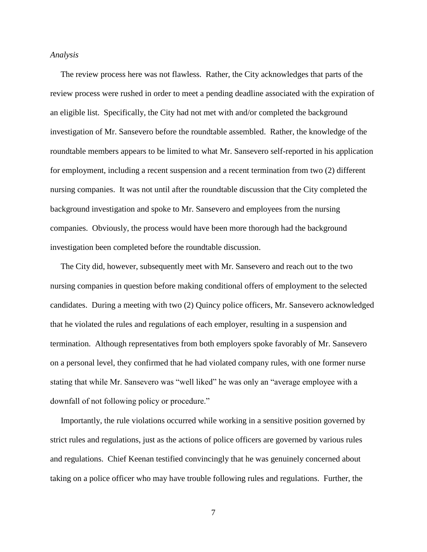### *Analysis*

 The review process here was not flawless. Rather, the City acknowledges that parts of the review process were rushed in order to meet a pending deadline associated with the expiration of an eligible list. Specifically, the City had not met with and/or completed the background investigation of Mr. Sansevero before the roundtable assembled. Rather, the knowledge of the roundtable members appears to be limited to what Mr. Sansevero self-reported in his application for employment, including a recent suspension and a recent termination from two (2) different nursing companies. It was not until after the roundtable discussion that the City completed the background investigation and spoke to Mr. Sansevero and employees from the nursing companies. Obviously, the process would have been more thorough had the background investigation been completed before the roundtable discussion.

 The City did, however, subsequently meet with Mr. Sansevero and reach out to the two nursing companies in question before making conditional offers of employment to the selected candidates. During a meeting with two (2) Quincy police officers, Mr. Sansevero acknowledged that he violated the rules and regulations of each employer, resulting in a suspension and termination. Although representatives from both employers spoke favorably of Mr. Sansevero on a personal level, they confirmed that he had violated company rules, with one former nurse stating that while Mr. Sansevero was "well liked" he was only an "average employee with a downfall of not following policy or procedure."

 Importantly, the rule violations occurred while working in a sensitive position governed by strict rules and regulations, just as the actions of police officers are governed by various rules and regulations. Chief Keenan testified convincingly that he was genuinely concerned about taking on a police officer who may have trouble following rules and regulations. Further, the

7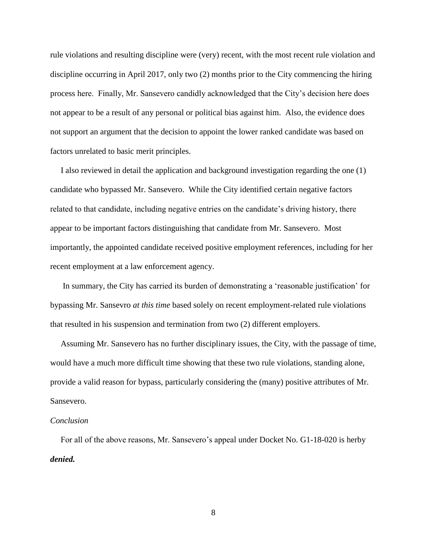rule violations and resulting discipline were (very) recent, with the most recent rule violation and discipline occurring in April 2017, only two (2) months prior to the City commencing the hiring process here. Finally, Mr. Sansevero candidly acknowledged that the City's decision here does not appear to be a result of any personal or political bias against him. Also, the evidence does not support an argument that the decision to appoint the lower ranked candidate was based on factors unrelated to basic merit principles.

 I also reviewed in detail the application and background investigation regarding the one (1) candidate who bypassed Mr. Sansevero. While the City identified certain negative factors related to that candidate, including negative entries on the candidate's driving history, there appear to be important factors distinguishing that candidate from Mr. Sansevero. Most importantly, the appointed candidate received positive employment references, including for her recent employment at a law enforcement agency.

 In summary, the City has carried its burden of demonstrating a 'reasonable justification' for bypassing Mr. Sansevro *at this time* based solely on recent employment-related rule violations that resulted in his suspension and termination from two (2) different employers.

 Assuming Mr. Sansevero has no further disciplinary issues, the City, with the passage of time, would have a much more difficult time showing that these two rule violations, standing alone, provide a valid reason for bypass, particularly considering the (many) positive attributes of Mr. Sansevero.

### *Conclusion*

 For all of the above reasons, Mr. Sansevero's appeal under Docket No. G1-18-020 is herby *denied.*